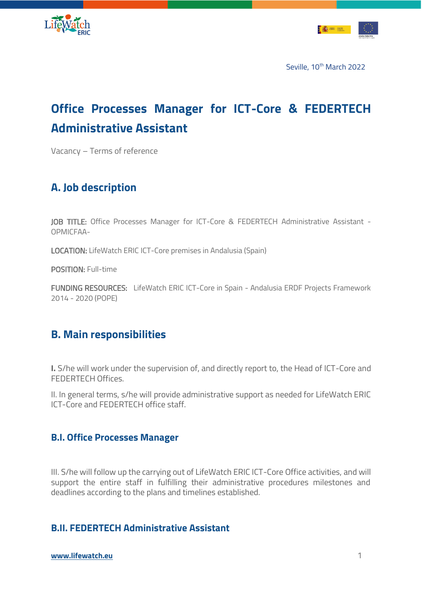



# **Office Processes Manager for ICT-Core & FEDERTECH Administrative Assistant**

Vacancy – Terms of reference

### **A. Job description**

JOB TITLE: Office Processes Manager for ICT-Core & FEDERTECH Administrative Assistant -OPMICFAA-

LOCATION: LifeWatch ERIC ICT-Core premises in Andalusia (Spain)

POSITION: Full-time

FUNDING RESOURCES: LifeWatch ERIC ICT-Core in Spain - Andalusia ERDF Projects Framework 2014 - 2020 (POPE)

### **B. Main responsibilities**

**I.** S/he will work under the supervision of, and directly report to, the Head of ICT-Core and FEDERTECH Offices.

II. In general terms, s/he will provide administrative support as needed for LifeWatch ERIC ICT-Core and FEDERTECH office staff.

### **B.I. Office Processes Manager**

III. S/he will follow up the carrying out of LifeWatch ERIC ICT-Core Office activities, and will support the entire staff in fulfilling their administrative procedures milestones and deadlines according to the plans and timelines established.

### **B.II. FEDERTECH Administrative Assistant**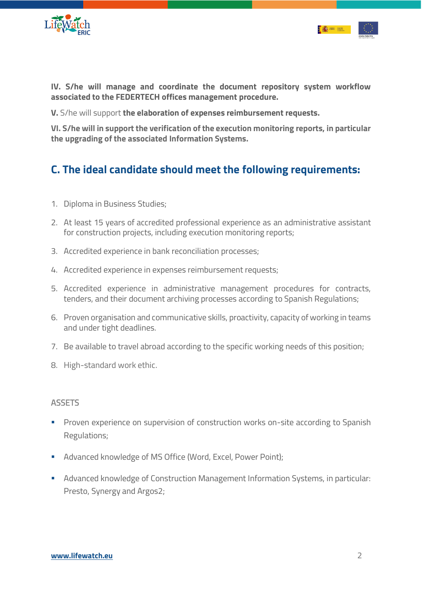



**IV. S/he will manage and coordinate the document repository system workflow associated to the FEDERTECH offices management procedure.**

**V.** S/he will support **the elaboration of expenses reimbursement requests.** 

**VI. S/he will in support the verification of the execution monitoring reports, in particular the upgrading of the associated Information Systems.**

## **C. The ideal candidate should meet the following requirements:**

- 1. Diploma in Business Studies;
- 2. At least 15 years of accredited professional experience as an administrative assistant for construction projects, including execution monitoring reports;
- 3. Accredited experience in bank reconciliation processes;
- 4. Accredited experience in expenses reimbursement requests;
- 5. Accredited experience in administrative management procedures for contracts, tenders, and their document archiving processes according to Spanish Regulations;
- 6. Proven organisation and communicative skills, proactivity, capacity of working in teams and under tight deadlines.
- 7. Be available to travel abroad according to the specific working needs of this position;
- 8. High-standard work ethic.

#### **ASSETS**

- **•** Proven experience on supervision of construction works on-site according to Spanish Regulations;
- Advanced knowledge of MS Office (Word, Excel, Power Point);
- Advanced knowledge of Construction Management Information Systems, in particular: Presto, Synergy and Argos2;